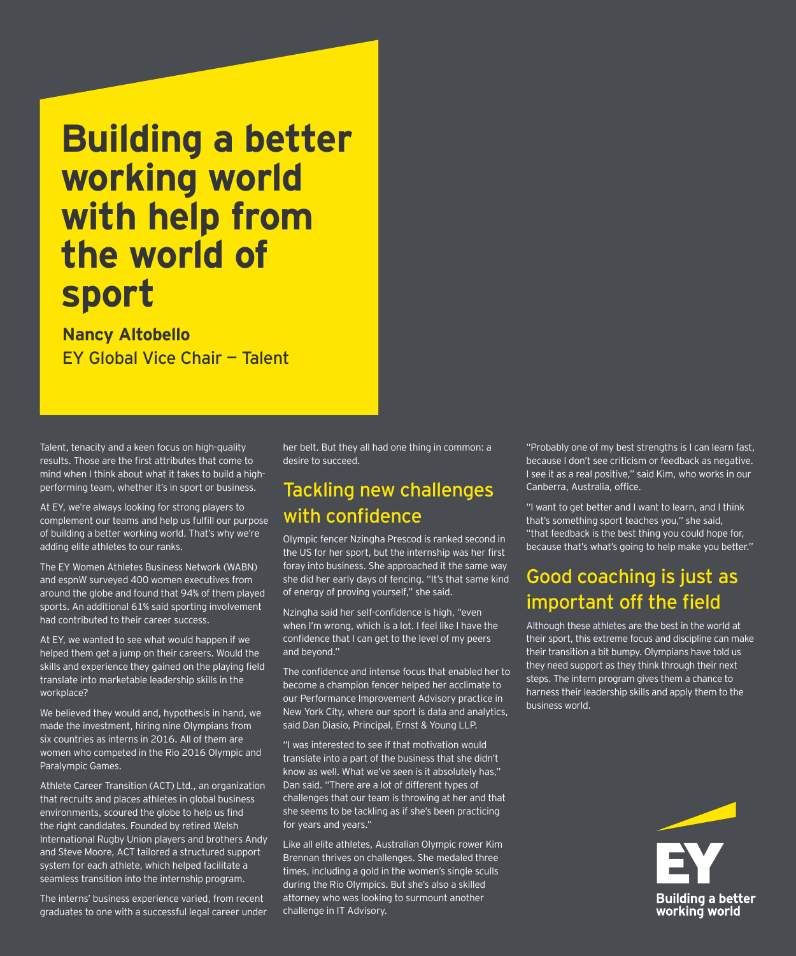# **Building a better working world with help from the world of sport**

#### **Nancy Altobello** EY Global Vice Chair — Talent

Talent, tenacity and a keen focus on high-quality results. Those are the first attributes that come to mind when I think about what it takes to build a highperforming team, whether it's in sport or business.

At EY, we're always looking for strong players to complement our teams and help us fulfill our purpose of building a better working world. That's why we're adding elite athletes to our ranks.

The EY Women Athletes Business Network (WABN) and espnW surveyed 400 women executives from around the globe and found that 94% of them played sports. An additional 61% said sporting involvement had contributed to their career success.

At EY, we wanted to see what would happen if we helped them get a jump on their careers. Would the skills and experience they gained on the playing field translate into marketable leadership skills in the workplace?

We believed they would and, hypothesis in hand, we made the investment, hiring nine Olympians from six countries as interns in 2016. All of them are women who competed in the Rio 2016 Olympic and Paralympic Games.

Athlete Career Transition (ACT) Ltd., an organization that recruits and places athletes in global business environments, scoured the globe to help us find the right candidates. Founded by retired Welsh International Rugby Union players and brothers Andy and Steve Moore, ACT tailored a structured support system for each athlete, which helped facilitate a seamless transition into the internship program.

The interns' business experience varied, from recent graduates to one with a successful legal career under her belt. But they all had one thing in common: a desire to succeed.

#### Tackling new challenges with confidence

Olympic fencer Nzingha Prescod is ranked second in the US for her sport, but the internship was her first foray into business. She approached it the same way she did her early days of fencing. "It's that same kind of energy of proving yourself," she said.

Nzingha said her self-confidence is high, "even when I'm wrong, which is a lot. I feel like I have the confidence that I can get to the level of my peers and beyond."

The confidence and intense focus that enabled her to become a champion fencer helped her acclimate to our Performance Improvement Advisory practice in New York City, where our sport is data and analytics, said Dan Diasio, Principal, Ernst & Young LLP.

"I was interested to see if that motivation would translate into a part of the business that she didn't know as well. What we've seen is it absolutely has," Dan said. "There are a lot of different types of challenges that our team is throwing at her and that she seems to be tackling as if she's been practicing for years and years."

Like all elite athletes, Australian Olympic rower Kim Brennan thrives on challenges. She medaled three times, including a gold in the women's single sculls during the Rio Olympics. But she's also a skilled attorney who was looking to surmount another challenge in IT Advisory.

"Probably one of my best strengths is I can learn fast, because I don't see criticism or feedback as negative. I see it as a real positive," said Kim, who works in our Canberra, Australia, office.

"I want to get better and I want to learn, and I think that's something sport teaches you," she said, "that feedback is the best thing you could hope for, because that's what's going to help make you better."

#### Good coaching is just as important off the field

Although these athletes are the best in the world at their sport, this extreme focus and discipline can make their transition a bit bumpy. Olympians have told us they need support as they think through their next steps. The intern program gives them a chance to harness their leadership skills and apply them to the business world.